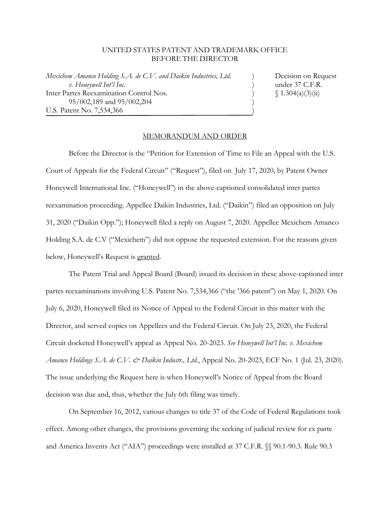## UNITED STATES PATENT AND TRADEMARK OFFICE BEFORE THE DIRECTOR

*Mexichem Amanco Holding S.A. de C.V. and Daikin Industries, Ltd.* ) Decision on Request  *v. Honeywell Int'l Inc.* ) under 37 C.F.R. Inter Partes Reexamination Control Nos.  $\int 1.304(a)(3)(ii)$ 95/002,189 and 95/002,204 (1995) U.S. Patent No. 7,534,366 )

٦

## MEMORANDUM AND ORDER

 Before the Director is the "Petition for Extension of Time to File an Appeal with the U.S. Court of Appeals for the Federal Circuit" ("Request"), filed on July 17, 2020, by Patent Owner Honeywell International Inc. ("Honeywell") in the above-captioned consolidated inter partes reexamination proceeding. Appellee Daikin Industries, Ltd. ("Daikin") filed an opposition on July 31, 2020 ("Daikin Opp."); Honeywell filed a reply on August 7, 2020. Appellee Mexichem Amanco Holding S.A. de C.V ("Mexichem") did not oppose the requested extension. For the reasons given below, Honeywell's Request is granted.

 The Patent Trial and Appeal Board (Board) issued its decision in these above-captioned inter partes reexaminations involving U.S. Patent No. 7,534,366 ("the '366 patent") on May 1, 2020. On July 6, 2020, Honeywell filed its Notice of Appeal to the Federal Circuit in this matter with the Director, and served copies on Appellees and the Federal Circuit. On July 23, 2020, the Federal Circuit docketed Honeywell's appeal as Appeal No. 20-2023. *See Honeywell Int'l Inc. v. Mexichem Amanco Holdings S.A. de C.V. & Daikin Industr., Ltd.*, Appeal No. 20-2023, ECF No. 1 (Jul. 23, 2020). The issue underlying the Request here is when Honeywell's Notice of Appeal from the Board decision was due and, thus, whether the July 6th filing was timely.

 On September 16, 2012, various changes to title 37 of the Code of Federal Regulations took effect. Among other changes, the provisions governing the seeking of judicial review for ex parte and America Invents Act ("AIA") proceedings were installed at 37 C.F.R. §§ 90.1-90.3. Rule 90.3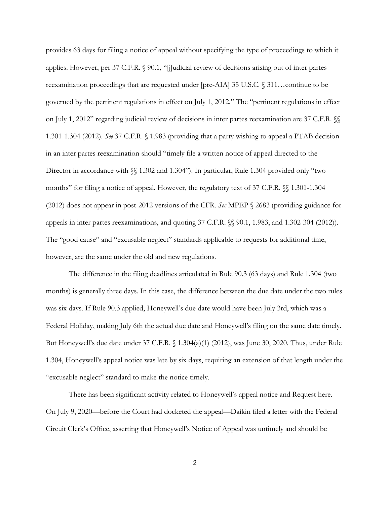provides 63 days for filing a notice of appeal without specifying the type of proceedings to which it applies. However, per 37 C.F.R. § 90.1, "[j]udicial review of decisions arising out of inter partes reexamination proceedings that are requested under [pre-AIA] 35 U.S.C. § 311…continue to be governed by the pertinent regulations in effect on July 1, 2012." The "pertinent regulations in effect on July 1, 2012" regarding judicial review of decisions in inter partes reexamination are 37 C.F.R. §§ 1.301-1.304 (2012). *See* 37 C.F.R. § 1.983 (providing that a party wishing to appeal a PTAB decision in an inter partes reexamination should "timely file a written notice of appeal directed to the Director in accordance with  $\$  1.302 and 1.304"). In particular, Rule 1.304 provided only "two months" for filing a notice of appeal. However, the regulatory text of 37 C.F.R. §§ 1.301-1.304 (2012) does not appear in post-2012 versions of the CFR. *See* MPEP § 2683 (providing guidance for appeals in inter partes reexaminations, and quoting 37 C.F.R. §§ 90.1, 1.983, and 1.302-304 (2012)). The "good cause" and "excusable neglect" standards applicable to requests for additional time, however, are the same under the old and new regulations.

The difference in the filing deadlines articulated in Rule 90.3 (63 days) and Rule 1.304 (two months) is generally three days. In this case, the difference between the due date under the two rules was six days. If Rule 90.3 applied, Honeywell's due date would have been July 3rd, which was a Federal Holiday, making July 6th the actual due date and Honeywell's filing on the same date timely. But Honeywell's due date under 37 C.F.R. § 1.304(a)(1) (2012), was June 30, 2020. Thus, under Rule 1.304, Honeywell's appeal notice was late by six days, requiring an extension of that length under the "excusable neglect" standard to make the notice timely.

There has been significant activity related to Honeywell's appeal notice and Request here. On July 9, 2020—before the Court had docketed the appeal—Daikin filed a letter with the Federal Circuit Clerk's Office, asserting that Honeywell's Notice of Appeal was untimely and should be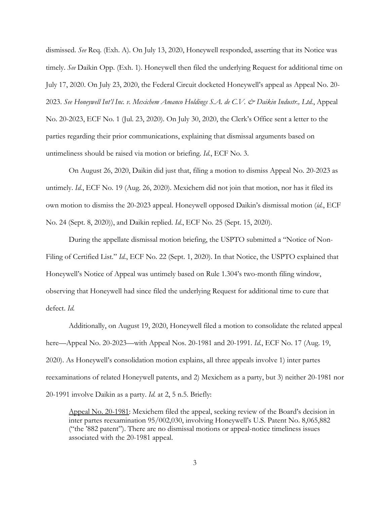dismissed. *See* Req. (Exh. A). On July 13, 2020, Honeywell responded, asserting that its Notice was timely. *See* Daikin Opp. (Exh. 1). Honeywell then filed the underlying Request for additional time on July 17, 2020. On July 23, 2020, the Federal Circuit docketed Honeywell's appeal as Appeal No. 20- 2023. *See Honeywell Int'l Inc. v. Mexichem Amanco Holdings S.A. de C.V. & Daikin Industr., Ltd.*, Appeal No. 20-2023, ECF No. 1 (Jul. 23, 2020). On July 30, 2020, the Clerk's Office sent a letter to the parties regarding their prior communications, explaining that dismissal arguments based on untimeliness should be raised via motion or briefing. *Id.*, ECF No. 3.

On August 26, 2020, Daikin did just that, filing a motion to dismiss Appeal No. 20-2023 as untimely. *Id.*, ECF No. 19 (Aug. 26, 2020). Mexichem did not join that motion, nor has it filed its own motion to dismiss the 20-2023 appeal. Honeywell opposed Daikin's dismissal motion (*id.*, ECF No. 24 (Sept. 8, 2020)), and Daikin replied. *Id.*, ECF No. 25 (Sept. 15, 2020).

During the appellate dismissal motion briefing, the USPTO submitted a "Notice of Non-Filing of Certified List." *Id.*, ECF No. 22 (Sept. 1, 2020). In that Notice, the USPTO explained that Honeywell's Notice of Appeal was untimely based on Rule 1.304's two-month filing window, observing that Honeywell had since filed the underlying Request for additional time to cure that defect. *Id.*

Additionally, on August 19, 2020, Honeywell filed a motion to consolidate the related appeal here—Appeal No. 20-2023—with Appeal Nos. 20-1981 and 20-1991. *Id.*, ECF No. 17 (Aug. 19, 2020). As Honeywell's consolidation motion explains, all three appeals involve 1) inter partes reexaminations of related Honeywell patents, and 2) Mexichem as a party, but 3) neither 20-1981 nor 20-1991 involve Daikin as a party. *Id.* at 2, 5 n.5. Briefly:

Appeal No. 20-1981: Mexichem filed the appeal, seeking review of the Board's decision in inter partes reexamination 95/002,030, involving Honeywell's U.S. Patent No. 8,065,882 ("the '882 patent"). There are no dismissal motions or appeal-notice timeliness issues associated with the 20-1981 appeal.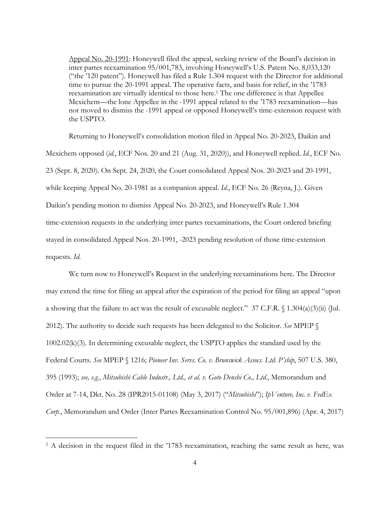Appeal No. 20-1991: Honeywell filed the appeal, seeking review of the Board's decision in inter partes reexamination 95/001,783, involving Honeywell's U.S. Patent No. 8,033,120 ("the '120 patent"). Honeywell has filed a Rule 1.304 request with the Director for additional time to pursue the 20-1991 appeal. The operative facts, and basis for relief, in the '1783 reexamination are virtually identical to those here.<sup>1</sup> The one difference is that Appellee Mexichem—the lone Appellee in the -1991 appeal related to the '1783 reexamination—has not moved to dismiss the -1991 appeal or opposed Honeywell's time-extension request with the USPTO.

Returning to Honeywell's consolidation motion filed in Appeal No. 20-2023, Daikin and Mexichem opposed (*id.*, ECF Nos. 20 and 21 (Aug. 31, 2020)), and Honeywell replied. *Id.*, ECF No. 23 (Sept. 8, 2020). On Sept. 24, 2020, the Court consolidated Appeal Nos. 20-2023 and 20-1991, while keeping Appeal No. 20-1981 as a companion appeal. *Id.*, ECF No. 26 (Reyna, J.). Given Daikin's pending motion to dismiss Appeal No. 20-2023, and Honeywell's Rule 1.304 time-extension requests in the underlying inter partes reexaminations, the Court ordered briefing stayed in consolidated Appeal Nos. 20-1991, -2023 pending resolution of those time-extension requests. *Id.*

We turn now to Honeywell's Request in the underlying reexaminations here. The Director may extend the time for filing an appeal after the expiration of the period for filing an appeal "upon a showing that the failure to act was the result of excusable neglect." 37 C.F.R. § 1.304(a)(3)(ii) (Jul. 2012). The authority to decide such requests has been delegated to the Solicitor. *See* MPEP § 1002.02(k)(3). In determining excusable neglect, the USPTO applies the standard used by the Federal Courts. *See* MPEP § 1216; *Pioneer Inv. Servs. Co. v. Brunswick Assocs. Ltd. P'ship*, 507 U.S. 380, 395 (1993); *see, e.g.*, *Mitsubishi Cable Industr., Ltd., et al. v. Goto Denshi Co., Ltd.*, Memorandum and Order at 7-14, Dkt. No. 28 (IPR2015-01108) (May 3, 2017) ("*Mitsubishi*"); *IpVenture, Inc. v. FedEx Corp.*, Memorandum and Order (Inter Partes Reexamination Control No. 95/001,896) (Apr. 4, 2017)

 $\overline{a}$ 

<sup>&</sup>lt;sup>1</sup> A decision in the request filed in the '1783 reexamination, reaching the same result as here, was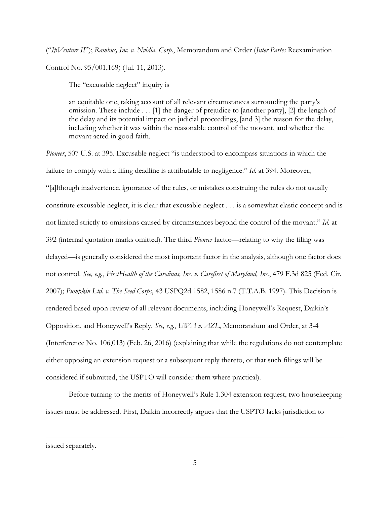("*IpVenture II*"); *Rambus, Inc. v. Nvidia, Corp*., Memorandum and Order (*Inter Partes* Reexamination Control No. 95/001,169) (Jul. 11, 2013).

The "excusable neglect" inquiry is

an equitable one, taking account of all relevant circumstances surrounding the party's omission. These include . . . [1] the danger of prejudice to [another party], [2] the length of the delay and its potential impact on judicial proceedings, [and 3] the reason for the delay, including whether it was within the reasonable control of the movant, and whether the movant acted in good faith.

*Pioneer*, 507 U.S. at 395. Excusable neglect "is understood to encompass situations in which the failure to comply with a filing deadline is attributable to negligence." *Id.* at 394. Moreover, "[a]lthough inadvertence, ignorance of the rules, or mistakes construing the rules do not usually constitute excusable neglect, it is clear that excusable neglect . . . is a somewhat elastic concept and is not limited strictly to omissions caused by circumstances beyond the control of the movant." *Id.* at 392 (internal quotation marks omitted). The third *Pioneer* factor—relating to why the filing was delayed—is generally considered the most important factor in the analysis, although one factor does not control. *See, e.g.*, *FirstHealth of the Carolinas, Inc. v. Carefirst of Maryland, Inc.*, 479 F.3d 825 (Fed. Cir. 2007); *Pumpkin Ltd. v. The Seed Corps*, 43 USPQ2d 1582, 1586 n.7 (T.T.A.B. 1997). This Decision is rendered based upon review of all relevant documents, including Honeywell's Request, Daikin's Opposition, and Honeywell's Reply. *See, e.g.*, *UWA v. AZL*, Memorandum and Order, at 3-4 (Interference No. 106,013) (Feb. 26, 2016) (explaining that while the regulations do not contemplate either opposing an extension request or a subsequent reply thereto, or that such filings will be considered if submitted, the USPTO will consider them where practical).

Before turning to the merits of Honeywell's Rule 1.304 extension request, two housekeeping issues must be addressed. First, Daikin incorrectly argues that the USPTO lacks jurisdiction to

issued separately.

 $\overline{a}$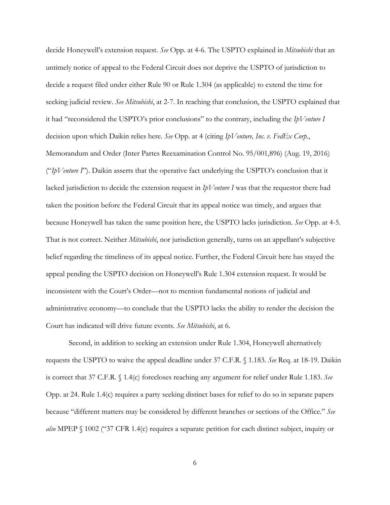decide Honeywell's extension request. *See* Opp. at 4-6. The USPTO explained in *Mitsubishi* that an untimely notice of appeal to the Federal Circuit does not deprive the USPTO of jurisdiction to decide a request filed under either Rule 90 or Rule 1.304 (as applicable) to extend the time for seeking judicial review. *See Mitsubishi*, at 2-7. In reaching that conclusion, the USPTO explained that it had "reconsidered the USPTO's prior conclusions" to the contrary, including the *IpVenture I* decision upon which Daikin relies here. *See* Opp. at 4 (citing *IpVenture, Inc. v. FedEx Corp.*, Memorandum and Order (Inter Partes Reexamination Control No. 95/001,896) (Aug. 19, 2016) ("*IpVenture I*"). Daikin asserts that the operative fact underlying the USPTO's conclusion that it lacked jurisdiction to decide the extension request in *IpVenture I* was that the requestor there had taken the position before the Federal Circuit that its appeal notice was timely, and argues that because Honeywell has taken the same position here, the USPTO lacks jurisdiction. *See* Opp. at 4-5. That is not correct. Neither *Mitsubishi*, nor jurisdiction generally, turns on an appellant's subjective belief regarding the timeliness of its appeal notice. Further, the Federal Circuit here has stayed the appeal pending the USPTO decision on Honeywell's Rule 1.304 extension request. It would be inconsistent with the Court's Order—not to mention fundamental notions of judicial and administrative economy—to conclude that the USPTO lacks the ability to render the decision the Court has indicated will drive future events. *See Mitsubishi*, at 6.

Second, in addition to seeking an extension under Rule 1.304, Honeywell alternatively requests the USPTO to waive the appeal deadline under 37 C.F.R. § 1.183. *See* Req. at 18-19. Daikin is correct that 37 C.F.R. § 1.4(c) forecloses reaching any argument for relief under Rule 1.183. *See* Opp. at 24. Rule 1.4(c) requires a party seeking distinct bases for relief to do so in separate papers because "different matters may be considered by different branches or sections of the Office." *See also* MPEP § 1002 ("37 CFR 1.4(c) requires a separate petition for each distinct subject, inquiry or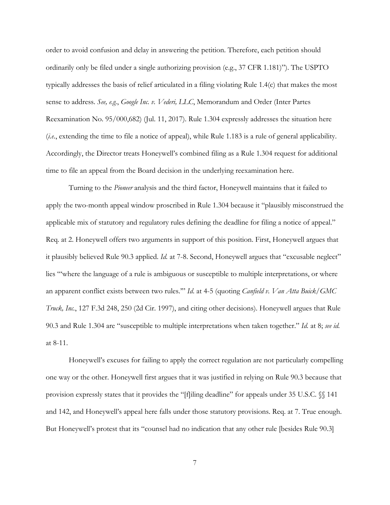order to avoid confusion and delay in answering the petition. Therefore, each petition should ordinarily only be filed under a single authorizing provision (e.g., 37 CFR 1.181)"). The USPTO typically addresses the basis of relief articulated in a filing violating Rule 1.4(c) that makes the most sense to address. *See, e.g.*, *Google Inc. v. Vederi, LLC*, Memorandum and Order (Inter Partes Reexamination No. 95/000,682) (Jul. 11, 2017). Rule 1.304 expressly addresses the situation here (*i.e.*, extending the time to file a notice of appeal), while Rule 1.183 is a rule of general applicability. Accordingly, the Director treats Honeywell's combined filing as a Rule 1.304 request for additional time to file an appeal from the Board decision in the underlying reexamination here.

Turning to the *Pioneer* analysis and the third factor, Honeywell maintains that it failed to apply the two-month appeal window proscribed in Rule 1.304 because it "plausibly misconstrued the applicable mix of statutory and regulatory rules defining the deadline for filing a notice of appeal." Req. at 2. Honeywell offers two arguments in support of this position. First, Honeywell argues that it plausibly believed Rule 90.3 applied. *Id.* at 7-8. Second, Honeywell argues that "excusable neglect" lies "'where the language of a rule is ambiguous or susceptible to multiple interpretations, or where an apparent conflict exists between two rules.'" *Id*. at 4-5 (quoting *Canfield v. Van Atta Buick/GMC Truck, Inc.*, 127 F.3d 248, 250 (2d Cir. 1997), and citing other decisions). Honeywell argues that Rule 90.3 and Rule 1.304 are "susceptible to multiple interpretations when taken together." *Id.* at 8; *see id.* at 8-11.

Honeywell's excuses for failing to apply the correct regulation are not particularly compelling one way or the other. Honeywell first argues that it was justified in relying on Rule 90.3 because that provision expressly states that it provides the "[f]iling deadline" for appeals under 35 U.S.C. §§ 141 and 142, and Honeywell's appeal here falls under those statutory provisions. Req. at 7. True enough. But Honeywell's protest that its "counsel had no indication that any other rule [besides Rule 90.3]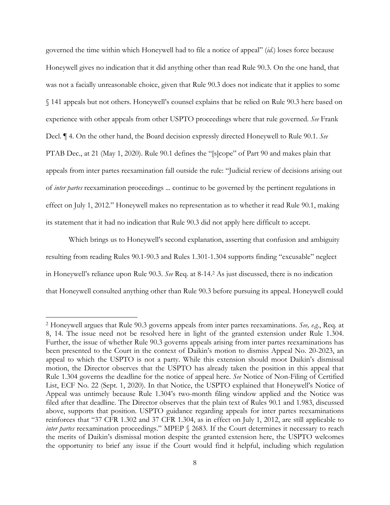governed the time within which Honeywell had to file a notice of appeal" (*id.*) loses force because Honeywell gives no indication that it did anything other than read Rule 90.3. On the one hand, that was not a facially unreasonable choice, given that Rule 90.3 does not indicate that it applies to some § 141 appeals but not others. Honeywell's counsel explains that he relied on Rule 90.3 here based on experience with other appeals from other USPTO proceedings where that rule governed. *See* Frank Decl. ¶ 4. On the other hand, the Board decision expressly directed Honeywell to Rule 90.1. *See* PTAB Dec., at 21 (May 1, 2020). Rule 90.1 defines the "[s]cope" of Part 90 and makes plain that appeals from inter partes reexamination fall outside the rule: "Judicial review of decisions arising out of *inter partes* reexamination proceedings ... continue to be governed by the pertinent regulations in effect on July 1, 2012." Honeywell makes no representation as to whether it read Rule 90.1, making its statement that it had no indication that Rule 90.3 did not apply here difficult to accept.

Which brings us to Honeywell's second explanation, asserting that confusion and ambiguity resulting from reading Rules 90.1-90.3 and Rules 1.301-1.304 supports finding "excusable" neglect in Honeywell's reliance upon Rule 90.3. *See* Req. at 8-14.2 As just discussed, there is no indication that Honeywell consulted anything other than Rule 90.3 before pursuing its appeal. Honeywell could

1

<sup>2</sup> Honeywell argues that Rule 90.3 governs appeals from inter partes reexaminations. *See, e.g.*, Req. at 8, 14. The issue need not be resolved here in light of the granted extension under Rule 1.304. Further, the issue of whether Rule 90.3 governs appeals arising from inter partes reexaminations has been presented to the Court in the context of Daikin's motion to dismiss Appeal No. 20-2023, an appeal to which the USPTO is not a party. While this extension should moot Daikin's dismissal motion, the Director observes that the USPTO has already taken the position in this appeal that Rule 1.304 governs the deadline for the notice of appeal here. *See* Notice of Non-Filing of Certified List, ECF No. 22 (Sept. 1, 2020). In that Notice, the USPTO explained that Honeywell's Notice of Appeal was untimely because Rule 1.304's two-month filing window applied and the Notice was filed after that deadline. The Director observes that the plain text of Rules 90.1 and 1.983, discussed above, supports that position. USPTO guidance regarding appeals for inter partes reexaminations reinforces that "37 CFR 1.302 and 37 CFR 1.304, as in effect on July 1, 2012, are still applicable to *inter partes* reexamination proceedings." MPEP § 2683. If the Court determines it necessary to reach the merits of Daikin's dismissal motion despite the granted extension here, the USPTO welcomes the opportunity to brief any issue if the Court would find it helpful, including which regulation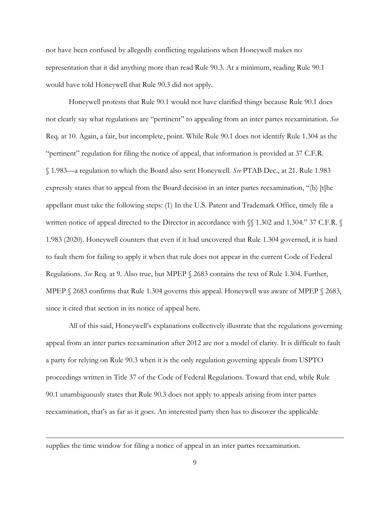not have been confused by allegedly conflicting regulations when Honeywell makes no representation that it did anything more than read Rule 90.3. At a minimum, reading Rule 90.1 would have told Honeywell that Rule 90.3 did not apply.

Honeywell protests that Rule 90.1 would not have clarified things because Rule 90.1 does not clearly say what regulations are "pertinent" to appealing from an inter partes reexamination. *See* Req. at 10. Again, a fair, but incomplete, point. While Rule 90.1 does not identify Rule 1.304 as the "pertinent" regulation for filing the notice of appeal, that information is provided at 37 C.F.R. § 1.983—a regulation to which the Board also sent Honeywell. *See* PTAB Dec., at 21. Rule 1.983 expressly states that to appeal from the Board decision in an inter partes reexamination, "(b) [t]he appellant must take the following steps: (1) In the U.S. Patent and Trademark Office, timely file a written notice of appeal directed to the Director in accordance with §§ 1.302 and 1.304." 37 C.F.R. § 1.983 (2020). Honeywell counters that even if it had uncovered that Rule 1.304 governed, it is hard to fault them for failing to apply it when that rule does not appear in the current Code of Federal Regulations. *See* Req. at 9. Also true, but MPEP § 2683 contains the text of Rule 1.304. Further, MPEP § 2683 confirms that Rule 1.304 governs this appeal. Honeywell was aware of MPEP § 2683, since it cited that section in its notice of appeal here.

All of this said, Honeywell's explanations collectively illustrate that the regulations governing appeal from an inter partes reexamination after 2012 are not a model of clarity. It is difficult to fault a party for relying on Rule 90.3 when it is the only regulation governing appeals from USPTO proceedings written in Title 37 of the Code of Federal Regulations. Toward that end, while Rule 90.1 unambiguously states that Rule 90.3 does not apply to appeals arising from inter partes reexamination, that's as far as it goes. An interested party then has to discover the applicable

supplies the time window for filing a notice of appeal in an inter partes reexamination.

1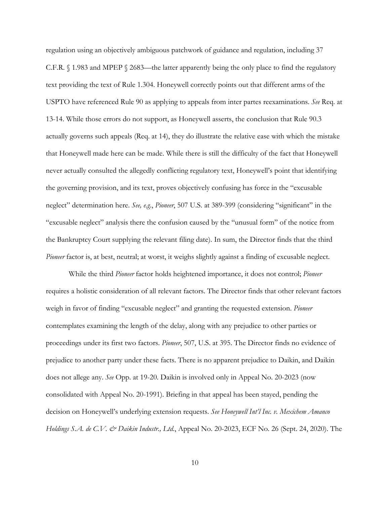regulation using an objectively ambiguous patchwork of guidance and regulation, including 37 C.F.R. § 1.983 and MPEP § 2683—the latter apparently being the only place to find the regulatory text providing the text of Rule 1.304. Honeywell correctly points out that different arms of the USPTO have referenced Rule 90 as applying to appeals from inter partes reexaminations. *See* Req. at 13-14. While those errors do not support, as Honeywell asserts, the conclusion that Rule 90.3 actually governs such appeals (Req. at 14), they do illustrate the relative ease with which the mistake that Honeywell made here can be made. While there is still the difficulty of the fact that Honeywell never actually consulted the allegedly conflicting regulatory text, Honeywell's point that identifying the governing provision, and its text, proves objectively confusing has force in the "excusable neglect" determination here. *See, e.g*., *Pioneer*, 507 U.S. at 389-399 (considering "significant" in the "excusable neglect" analysis there the confusion caused by the "unusual form" of the notice from the Bankruptcy Court supplying the relevant filing date). In sum, the Director finds that the third *Pioneer* factor is, at best, neutral; at worst, it weighs slightly against a finding of excusable neglect.

While the third *Pioneer* factor holds heightened importance, it does not control; *Pioneer* requires a holistic consideration of all relevant factors. The Director finds that other relevant factors weigh in favor of finding "excusable neglect" and granting the requested extension. *Pioneer* contemplates examining the length of the delay, along with any prejudice to other parties or proceedings under its first two factors. *Pioneer*, 507, U.S. at 395. The Director finds no evidence of prejudice to another party under these facts. There is no apparent prejudice to Daikin, and Daikin does not allege any. *See* Opp. at 19-20. Daikin is involved only in Appeal No. 20-2023 (now consolidated with Appeal No. 20-1991). Briefing in that appeal has been stayed, pending the decision on Honeywell's underlying extension requests. *See Honeywell Int'l Inc. v. Mexichem Amanco Holdings S.A. de C.V. & Daikin Industr., Ltd.*, Appeal No. 20-2023, ECF No. 26 (Sept. 24, 2020). The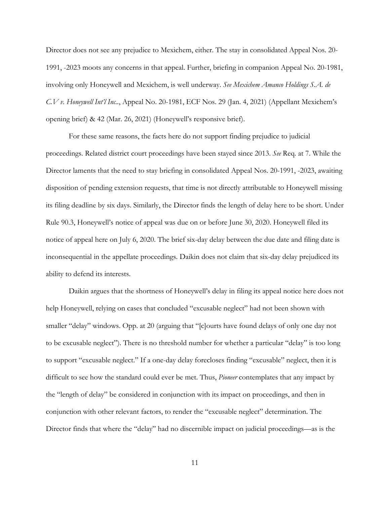Director does not see any prejudice to Mexichem, either. The stay in consolidated Appeal Nos. 20- 1991, -2023 moots any concerns in that appeal. Further, briefing in companion Appeal No. 20-1981, involving only Honeywell and Mexichem, is well underway. *See Mexichem Amanco Holdings S.A. de C.V v. Honeywell Int'l Inc..*, Appeal No. 20-1981, ECF Nos. 29 (Jan. 4, 2021) (Appellant Mexichem's opening brief) & 42 (Mar. 26, 2021) (Honeywell's responsive brief).

For these same reasons, the facts here do not support finding prejudice to judicial proceedings. Related district court proceedings have been stayed since 2013. *See* Req. at 7. While the Director laments that the need to stay briefing in consolidated Appeal Nos. 20-1991, -2023, awaiting disposition of pending extension requests, that time is not directly attributable to Honeywell missing its filing deadline by six days. Similarly, the Director finds the length of delay here to be short. Under Rule 90.3, Honeywell's notice of appeal was due on or before June 30, 2020. Honeywell filed its notice of appeal here on July 6, 2020. The brief six-day delay between the due date and filing date is inconsequential in the appellate proceedings. Daikin does not claim that six-day delay prejudiced its ability to defend its interests.

Daikin argues that the shortness of Honeywell's delay in filing its appeal notice here does not help Honeywell, relying on cases that concluded "excusable neglect" had not been shown with smaller "delay" windows. Opp. at 20 (arguing that "[c]ourts have found delays of only one day not to be excusable neglect"). There is no threshold number for whether a particular "delay" is too long to support "excusable neglect." If a one-day delay forecloses finding "excusable" neglect, then it is difficult to see how the standard could ever be met. Thus, *Pioneer* contemplates that any impact by the "length of delay" be considered in conjunction with its impact on proceedings, and then in conjunction with other relevant factors, to render the "excusable neglect" determination. The Director finds that where the "delay" had no discernible impact on judicial proceedings—as is the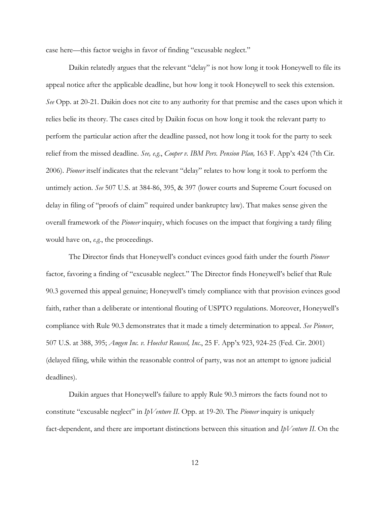case here—this factor weighs in favor of finding "excusable neglect."

Daikin relatedly argues that the relevant "delay" is not how long it took Honeywell to file its appeal notice after the applicable deadline, but how long it took Honeywell to seek this extension. *See* Opp. at 20-21. Daikin does not cite to any authority for that premise and the cases upon which it relies belie its theory. The cases cited by Daikin focus on how long it took the relevant party to perform the particular action after the deadline passed, not how long it took for the party to seek relief from the missed deadline. *See, e.g.*, *Cooper v. IBM Pers. Pension Plan,* 163 F. App'x 424 (7th Cir. 2006). *Pioneer* itself indicates that the relevant "delay" relates to how long it took to perform the untimely action. *See* 507 U.S. at 384-86, 395, & 397 (lower courts and Supreme Court focused on delay in filing of "proofs of claim" required under bankruptcy law). That makes sense given the overall framework of the *Pioneer* inquiry, which focuses on the impact that forgiving a tardy filing would have on, *e.g.*, the proceedings.

The Director finds that Honeywell's conduct evinces good faith under the fourth *Pioneer* factor, favoring a finding of "excusable neglect." The Director finds Honeywell's belief that Rule 90.3 governed this appeal genuine; Honeywell's timely compliance with that provision evinces good faith, rather than a deliberate or intentional flouting of USPTO regulations. Moreover, Honeywell's compliance with Rule 90.3 demonstrates that it made a timely determination to appeal. *See Pioneer*, 507 U.S. at 388, 395; *Amgen Inc. v. Hoechst Roussel, Inc.*, 25 F. App'x 923, 924-25 (Fed. Cir. 2001) (delayed filing, while within the reasonable control of party, was not an attempt to ignore judicial deadlines).

Daikin argues that Honeywell's failure to apply Rule 90.3 mirrors the facts found not to constitute "excusable neglect" in *IpVenture II*. Opp. at 19-20. The *Pioneer* inquiry is uniquely fact-dependent, and there are important distinctions between this situation and *IpVenture II*. On the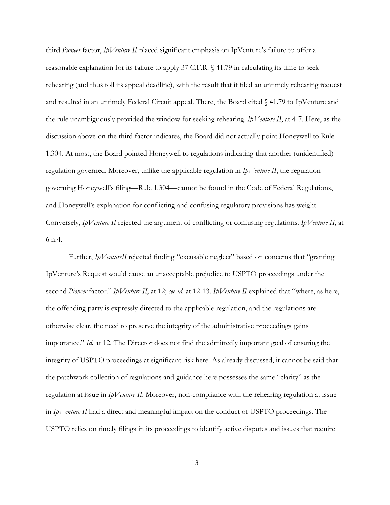third *Pioneer* factor, *IpVenture II* placed significant emphasis on IpVenture's failure to offer a reasonable explanation for its failure to apply 37 C.F.R. § 41.79 in calculating its time to seek rehearing (and thus toll its appeal deadline), with the result that it filed an untimely rehearing request and resulted in an untimely Federal Circuit appeal. There, the Board cited § 41.79 to IpVenture and the rule unambiguously provided the window for seeking rehearing. *IpVenture II*, at 4-7. Here, as the discussion above on the third factor indicates, the Board did not actually point Honeywell to Rule 1.304. At most, the Board pointed Honeywell to regulations indicating that another (unidentified) regulation governed. Moreover, unlike the applicable regulation in *IpVenture II*, the regulation governing Honeywell's filing—Rule 1.304—cannot be found in the Code of Federal Regulations, and Honeywell's explanation for conflicting and confusing regulatory provisions has weight. Conversely, *IpVenture II* rejected the argument of conflicting or confusing regulations. *IpVenture II*, at 6 n.4.

Further, *IpVentureII* rejected finding "excusable neglect" based on concerns that "granting IpVenture's Request would cause an unacceptable prejudice to USPTO proceedings under the second *Pioneer* factor." *IpVenture II*, at 12; *see id.* at 12-13. *IpVenture II* explained that "where, as here, the offending party is expressly directed to the applicable regulation, and the regulations are otherwise clear, the need to preserve the integrity of the administrative proceedings gains importance." *Id.* at 12. The Director does not find the admittedly important goal of ensuring the integrity of USPTO proceedings at significant risk here. As already discussed, it cannot be said that the patchwork collection of regulations and guidance here possesses the same "clarity" as the regulation at issue in *IpVenture II*. Moreover, non-compliance with the rehearing regulation at issue in *IpVenture II* had a direct and meaningful impact on the conduct of USPTO proceedings. The USPTO relies on timely filings in its proceedings to identify active disputes and issues that require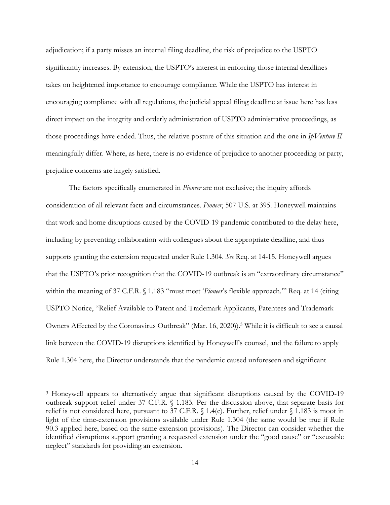adjudication; if a party misses an internal filing deadline, the risk of prejudice to the USPTO significantly increases. By extension, the USPTO's interest in enforcing those internal deadlines takes on heightened importance to encourage compliance. While the USPTO has interest in encouraging compliance with all regulations, the judicial appeal filing deadline at issue here has less direct impact on the integrity and orderly administration of USPTO administrative proceedings, as those proceedings have ended. Thus, the relative posture of this situation and the one in *IpVenture II* meaningfully differ. Where, as here, there is no evidence of prejudice to another proceeding or party, prejudice concerns are largely satisfied.

The factors specifically enumerated in *Pioneer* are not exclusive; the inquiry affords consideration of all relevant facts and circumstances. *Pioneer*, 507 U.S. at 395. Honeywell maintains that work and home disruptions caused by the COVID-19 pandemic contributed to the delay here, including by preventing collaboration with colleagues about the appropriate deadline, and thus supports granting the extension requested under Rule 1.304. *See* Req. at 14-15. Honeywell argues that the USPTO's prior recognition that the COVID-19 outbreak is an "extraordinary circumstance" within the meaning of 37 C.F.R. § 1.183 "must meet '*Pioneer*'s flexible approach.'" Req. at 14 (citing USPTO Notice, "Relief Available to Patent and Trademark Applicants, Patentees and Trademark Owners Affected by the Coronavirus Outbreak" (Mar. 16, 2020)).3 While it is difficult to see a causal link between the COVID-19 disruptions identified by Honeywell's counsel, and the failure to apply Rule 1.304 here, the Director understands that the pandemic caused unforeseen and significant

 $\overline{a}$ 

<sup>&</sup>lt;sup>3</sup> Honeywell appears to alternatively argue that significant disruptions caused by the COVID-19 outbreak support relief under 37 C.F.R. § 1.183. Per the discussion above, that separate basis for relief is not considered here, pursuant to 37 C.F.R. § 1.4(c). Further, relief under § 1.183 is moot in light of the time-extension provisions available under Rule 1.304 (the same would be true if Rule 90.3 applied here, based on the same extension provisions). The Director can consider whether the identified disruptions support granting a requested extension under the "good cause" or "excusable neglect" standards for providing an extension.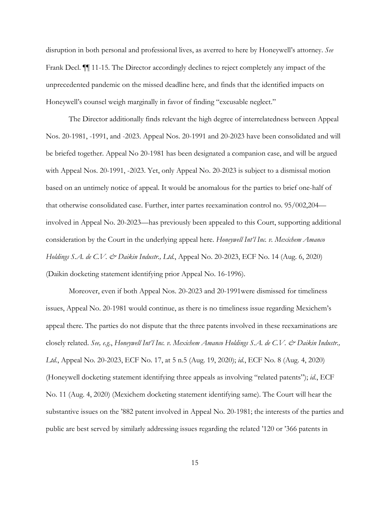disruption in both personal and professional lives, as averred to here by Honeywell's attorney. *See* Frank Decl. ¶¶ 11-15. The Director accordingly declines to reject completely any impact of the unprecedented pandemic on the missed deadline here, and finds that the identified impacts on Honeywell's counsel weigh marginally in favor of finding "excusable neglect."

The Director additionally finds relevant the high degree of interrelatedness between Appeal Nos. 20-1981, -1991, and -2023. Appeal Nos. 20-1991 and 20-2023 have been consolidated and will be briefed together. Appeal No 20-1981 has been designated a companion case, and will be argued with Appeal Nos. 20-1991, -2023. Yet, only Appeal No. 20-2023 is subject to a dismissal motion based on an untimely notice of appeal. It would be anomalous for the parties to brief one-half of that otherwise consolidated case. Further, inter partes reexamination control no. 95/002,204 involved in Appeal No. 20-2023—has previously been appealed to this Court, supporting additional consideration by the Court in the underlying appeal here. *Honeywell Int'l Inc. v. Mexichem Amanco Holdings S.A. de C.V. & Daikin Industr., Ltd.*, Appeal No. 20-2023, ECF No. 14 (Aug. 6, 2020) (Daikin docketing statement identifying prior Appeal No. 16-1996).

Moreover, even if both Appeal Nos. 20-2023 and 20-1991were dismissed for timeliness issues, Appeal No. 20-1981 would continue, as there is no timeliness issue regarding Mexichem's appeal there. The parties do not dispute that the three patents involved in these reexaminations are closely related. *See, e.g.*, *Honeywell Int'l Inc. v. Mexichem Amanco Holdings S.A. de C.V. & Daikin Industr., Ltd.*, Appeal No. 20-2023, ECF No. 17, at 5 n.5 (Aug. 19, 2020); *id.*, ECF No. 8 (Aug. 4, 2020) (Honeywell docketing statement identifying three appeals as involving "related patents"); *id.*, ECF No. 11 (Aug. 4, 2020) (Mexichem docketing statement identifying same). The Court will hear the substantive issues on the '882 patent involved in Appeal No. 20-1981; the interests of the parties and public are best served by similarly addressing issues regarding the related '120 or '366 patents in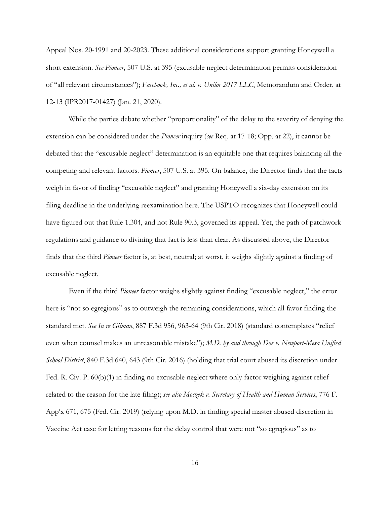Appeal Nos. 20-1991 and 20-2023. These additional considerations support granting Honeywell a short extension. *See Pioneer*, 507 U.S. at 395 (excusable neglect determination permits consideration of "all relevant circumstances"); *Facebook, Inc., et al. v. Uniloc 2017 LLC*, Memorandum and Order, at 12-13 (IPR2017-01427) (Jan. 21, 2020).

While the parties debate whether "proportionality" of the delay to the severity of denying the extension can be considered under the *Pioneer* inquiry (*see* Req. at 17-18; Opp. at 22), it cannot be debated that the "excusable neglect" determination is an equitable one that requires balancing all the competing and relevant factors. *Pioneer*, 507 U.S. at 395. On balance, the Director finds that the facts weigh in favor of finding "excusable neglect" and granting Honeywell a six-day extension on its filing deadline in the underlying reexamination here. The USPTO recognizes that Honeywell could have figured out that Rule 1.304, and not Rule 90.3, governed its appeal. Yet, the path of patchwork regulations and guidance to divining that fact is less than clear. As discussed above, the Director finds that the third *Pioneer* factor is, at best, neutral; at worst, it weighs slightly against a finding of excusable neglect.

Even if the third *Pioneer* factor weighs slightly against finding "excusable neglect," the error here is "not so egregious" as to outweigh the remaining considerations, which all favor finding the standard met. *See In re Gilman*, 887 F.3d 956, 963-64 (9th Cir. 2018) (standard contemplates "relief even when counsel makes an unreasonable mistake"); *M.D. by and through Doe v. Newport-Mesa Unified School District*, 840 F.3d 640, 643 (9th Cir. 2016) (holding that trial court abused its discretion under Fed. R. Civ. P. 60(b)(1) in finding no excusable neglect where only factor weighing against relief related to the reason for the late filing); *see also Moczek v. Secretary of Health and Human Services*, 776 F. App'x 671, 675 (Fed. Cir. 2019) (relying upon M.D. in finding special master abused discretion in Vaccine Act case for letting reasons for the delay control that were not "so egregious" as to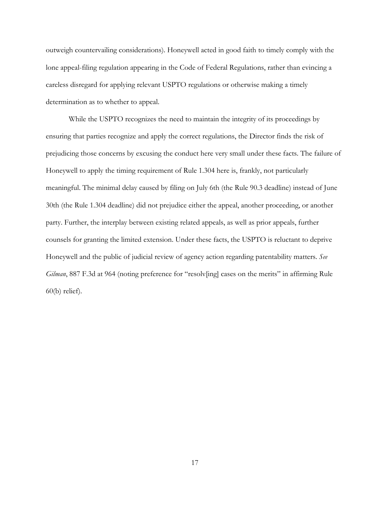outweigh countervailing considerations). Honeywell acted in good faith to timely comply with the lone appeal-filing regulation appearing in the Code of Federal Regulations, rather than evincing a careless disregard for applying relevant USPTO regulations or otherwise making a timely determination as to whether to appeal.

While the USPTO recognizes the need to maintain the integrity of its proceedings by ensuring that parties recognize and apply the correct regulations, the Director finds the risk of prejudicing those concerns by excusing the conduct here very small under these facts. The failure of Honeywell to apply the timing requirement of Rule 1.304 here is, frankly, not particularly meaningful. The minimal delay caused by filing on July 6th (the Rule 90.3 deadline) instead of June 30th (the Rule 1.304 deadline) did not prejudice either the appeal, another proceeding, or another party. Further, the interplay between existing related appeals, as well as prior appeals, further counsels for granting the limited extension. Under these facts, the USPTO is reluctant to deprive Honeywell and the public of judicial review of agency action regarding patentability matters. *See Gilman*, 887 F.3d at 964 (noting preference for "resolv[ing] cases on the merits" in affirming Rule 60(b) relief).